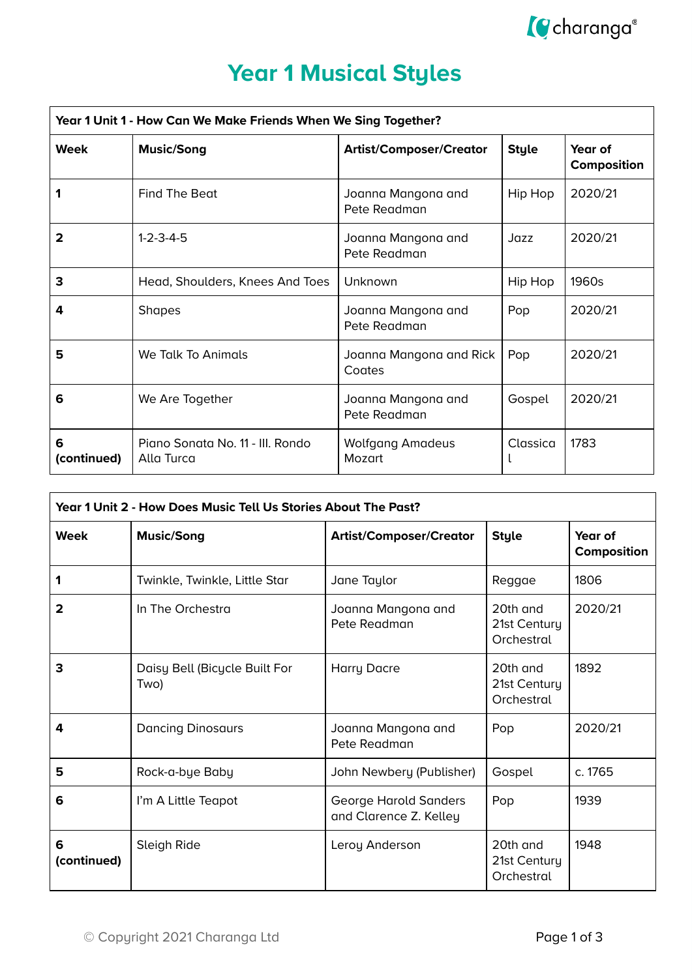

# **Year 1 Musical Styles**

| Year 1 Unit 1 - How Can We Make Friends When We Sing Together? |                                                           |                                    |              |                        |  |  |
|----------------------------------------------------------------|-----------------------------------------------------------|------------------------------------|--------------|------------------------|--|--|
| <b>Week</b>                                                    | <b>Music/Song</b>                                         | <b>Artist/Composer/Creator</b>     | <b>Style</b> | Year of<br>Composition |  |  |
|                                                                | Find The Beat                                             | Joanna Mangona and<br>Pete Readman | Hip Hop      | 2020/21                |  |  |
| 2                                                              | $1 - 2 - 3 - 4 - 5$<br>Joanna Mangona and<br>Pete Readman |                                    | Jazz         | 2020/21                |  |  |
| 3                                                              | Head, Shoulders, Knees And Toes                           | Unknown                            | Hip Hop      | 1960s                  |  |  |
| 4                                                              | <b>Shapes</b>                                             | Joanna Mangona and<br>Pete Readman | Pop          | 2020/21                |  |  |
| 5                                                              | We Talk To Animals<br>Joanna Mangona and Rick<br>Coates   |                                    | Pop          | 2020/21                |  |  |
| 6                                                              | We Are Together                                           | Joanna Mangona and<br>Pete Readman | Gospel       | 2020/21                |  |  |
| 6<br>(continued)                                               | Piano Sonata No. 11 - III. Rondo<br>Alla Turca            | <b>Wolfgang Amadeus</b><br>Mozart  | Classica     | 1783                   |  |  |

| Year 1 Unit 2 - How Does Music Tell Us Stories About The Past? |                                       |                                                 |                                        |                        |  |  |
|----------------------------------------------------------------|---------------------------------------|-------------------------------------------------|----------------------------------------|------------------------|--|--|
| <b>Week</b>                                                    | <b>Music/Song</b>                     | <b>Artist/Composer/Creator</b>                  | <b>Style</b>                           | Year of<br>Composition |  |  |
| 1                                                              | Twinkle, Twinkle, Little Star         | Jane Taylor                                     | Reggae                                 | 1806                   |  |  |
| 2                                                              | In The Orchestra                      | Joanna Mangona and<br>Pete Readman              | 20th and<br>21st Century<br>Orchestral | 2020/21                |  |  |
| 3                                                              | Daisy Bell (Bicycle Built For<br>Two) | <b>Harry Dacre</b>                              | 20th and<br>21st Century<br>Orchestral | 1892                   |  |  |
| 4                                                              | <b>Dancing Dinosaurs</b>              | Joanna Mangona and<br>Pete Readman              | Pop                                    | 2020/21                |  |  |
| 5                                                              | Rock-a-bye Baby                       | John Newbery (Publisher)                        | Gospel                                 | c. 1765                |  |  |
| 6                                                              | I'm A Little Teapot                   | George Harold Sanders<br>and Clarence Z. Kelley | Pop                                    | 1939                   |  |  |
| 6<br>(continued)                                               | Sleigh Ride                           | Leroy Anderson                                  | 20th and<br>21st Century<br>Orchestral | 1948                   |  |  |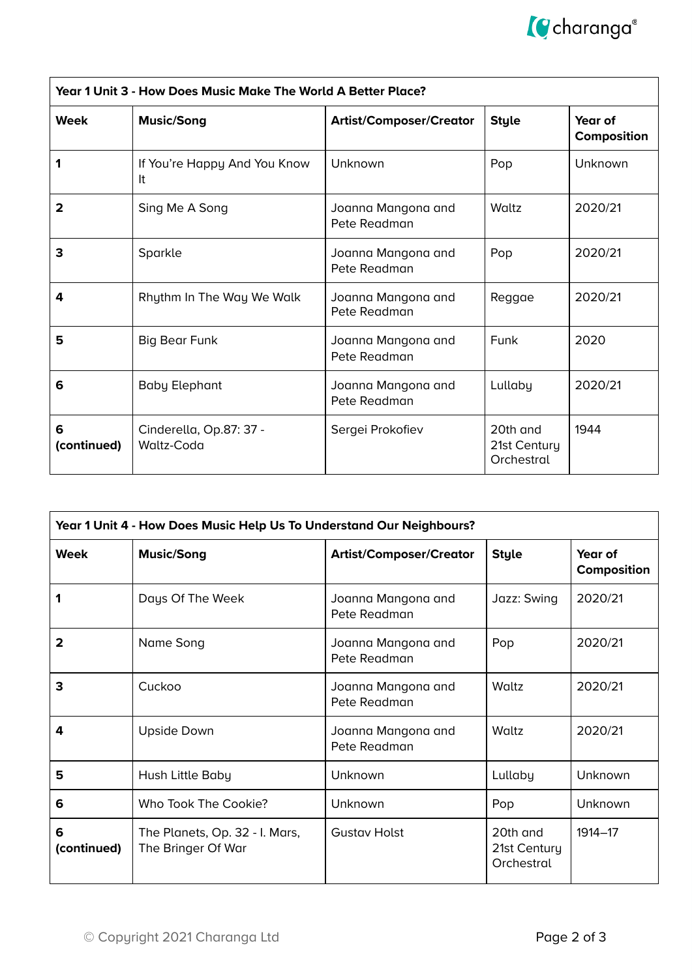

| Year 1 Unit 3 - How Does Music Make The World A Better Place? |                                       |                                    |                                        |                        |  |
|---------------------------------------------------------------|---------------------------------------|------------------------------------|----------------------------------------|------------------------|--|
| Week                                                          | <b>Music/Song</b>                     | <b>Artist/Composer/Creator</b>     | <b>Style</b>                           | Year of<br>Composition |  |
| 1                                                             | If You're Happy And You Know<br>It    | Unknown                            | Pop                                    | Unknown                |  |
| 2                                                             | Sing Me A Song                        | Joanna Mangona and<br>Pete Readman | Waltz                                  | 2020/21                |  |
| 3                                                             | Sparkle                               | Joanna Mangona and<br>Pete Readman | Pop                                    | 2020/21                |  |
| 4                                                             | Rhythm In The Way We Walk             | Joanna Mangona and<br>Pete Readman | Reggae                                 | 2020/21                |  |
| 5                                                             | <b>Big Bear Funk</b>                  | Joanna Mangona and<br>Pete Readman | Funk                                   | 2020                   |  |
| 6                                                             | <b>Baby Elephant</b>                  | Joanna Mangona and<br>Pete Readman | Lullaby                                | 2020/21                |  |
| 6<br>(continued)                                              | Cinderella, Op.87: 37 -<br>Waltz-Coda | Sergei Prokofiev                   | 20th and<br>21st Century<br>Orchestral | 1944                   |  |

| Year 1 Unit 4 - How Does Music Help Us To Understand Our Neighbours? |                                                      |                                    |                                        |                        |  |  |
|----------------------------------------------------------------------|------------------------------------------------------|------------------------------------|----------------------------------------|------------------------|--|--|
| <b>Week</b>                                                          | <b>Music/Song</b>                                    | <b>Artist/Composer/Creator</b>     | <b>Style</b>                           | Year of<br>Composition |  |  |
| 1                                                                    | Days Of The Week                                     | Joanna Mangona and<br>Pete Readman | Jazz: Swing                            | 2020/21                |  |  |
| $\overline{2}$                                                       | Name Song                                            | Joanna Mangona and<br>Pete Readman | Pop                                    | 2020/21                |  |  |
| 3                                                                    | Cuckoo                                               | Joanna Mangona and<br>Pete Readman | Waltz                                  | 2020/21                |  |  |
| 4                                                                    | <b>Upside Down</b>                                   | Joanna Mangona and<br>Pete Readman | Waltz                                  | 2020/21                |  |  |
| 5                                                                    | Hush Little Baby                                     | Unknown                            | Lullaby                                | Unknown                |  |  |
| 6                                                                    | Who Took The Cookie?                                 | Unknown                            | Pop                                    | Unknown                |  |  |
| 6<br>(continued)                                                     | The Planets, Op. 32 - I. Mars,<br>The Bringer Of War | <b>Gustav Holst</b>                | 20th and<br>21st Century<br>Orchestral | $1914 - 17$            |  |  |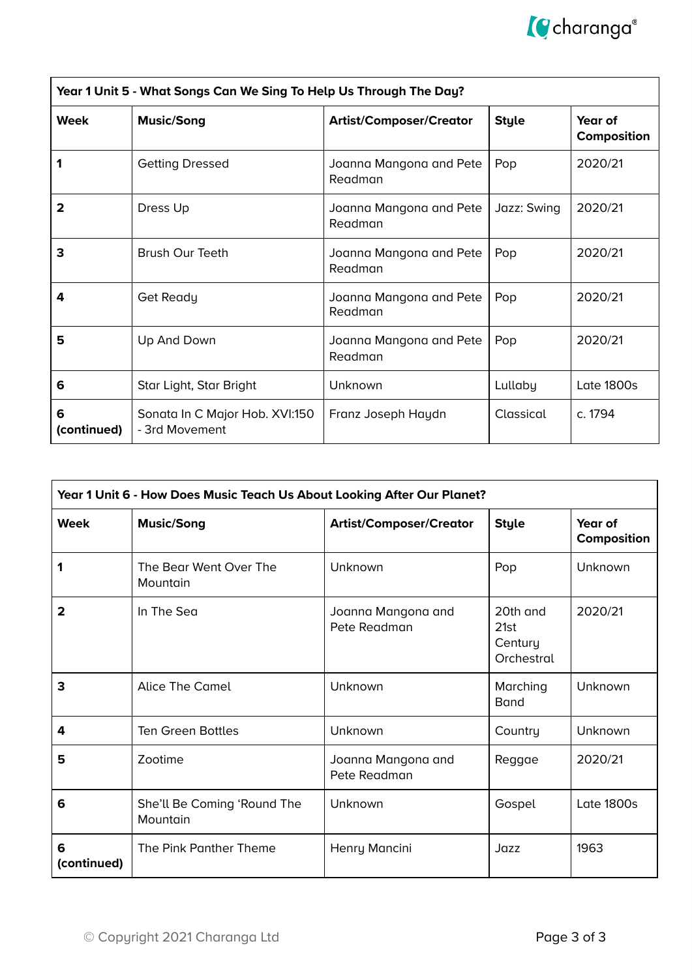

| Year 1 Unit 5 - What Songs Can We Sing To Help Us Through The Day? |                                                  |                                    |              |                        |  |
|--------------------------------------------------------------------|--------------------------------------------------|------------------------------------|--------------|------------------------|--|
| <b>Week</b>                                                        | <b>Music/Song</b>                                | <b>Artist/Composer/Creator</b>     | <b>Style</b> | Year of<br>Composition |  |
| 1                                                                  | <b>Getting Dressed</b>                           | Joanna Mangona and Pete<br>Readman | Pop          | 2020/21                |  |
| 2                                                                  | Dress Up                                         | Joanna Mangona and Pete<br>Readman | Jazz: Swing  | 2020/21                |  |
| 3                                                                  | <b>Brush Our Teeth</b>                           | Joanna Mangona and Pete<br>Readman | Pop          | 2020/21                |  |
| 4                                                                  | Get Ready                                        | Joanna Mangona and Pete<br>Readman | Pop          | 2020/21                |  |
| 5                                                                  | Up And Down                                      | Joanna Mangona and Pete<br>Readman | Pop          | 2020/21                |  |
| 6                                                                  | Star Light, Star Bright                          | Unknown                            | Lullaby      | <b>Late 1800s</b>      |  |
| 6<br>(continued)                                                   | Sonata In C Major Hob. XVI:150<br>- 3rd Movement | Franz Joseph Haydn                 | Classical    | c. 1794                |  |

| Year 1 Unit 6 - How Does Music Teach Us About Looking After Our Planet? |                                         |                                    |                                           |                        |  |  |
|-------------------------------------------------------------------------|-----------------------------------------|------------------------------------|-------------------------------------------|------------------------|--|--|
| <b>Week</b>                                                             | <b>Music/Song</b>                       | <b>Artist/Composer/Creator</b>     | <b>Style</b>                              | Year of<br>Composition |  |  |
| 1                                                                       | The Bear Went Over The<br>Mountain      | Unknown                            | Pop                                       | Unknown                |  |  |
| $\mathbf{2}$                                                            | In The Sea                              | Joanna Mangona and<br>Pete Readman | 20th and<br>21st<br>Century<br>Orchestral | 2020/21                |  |  |
| 3                                                                       | <b>Alice The Camel</b>                  | Unknown                            | Marching<br><b>B</b> and                  | Unknown                |  |  |
| 4                                                                       | <b>Ten Green Bottles</b>                | Unknown                            | Country                                   | <b>Unknown</b>         |  |  |
| 5                                                                       | Zootime                                 | Joanna Mangona and<br>Pete Readman | Reggae                                    | 2020/21                |  |  |
| 6                                                                       | She'll Be Coming 'Round The<br>Mountain | Unknown                            | Gospel                                    | <b>Late 1800s</b>      |  |  |
| 6<br>(continued)                                                        | The Pink Panther Theme                  | Henry Mancini                      | Jazz                                      | 1963                   |  |  |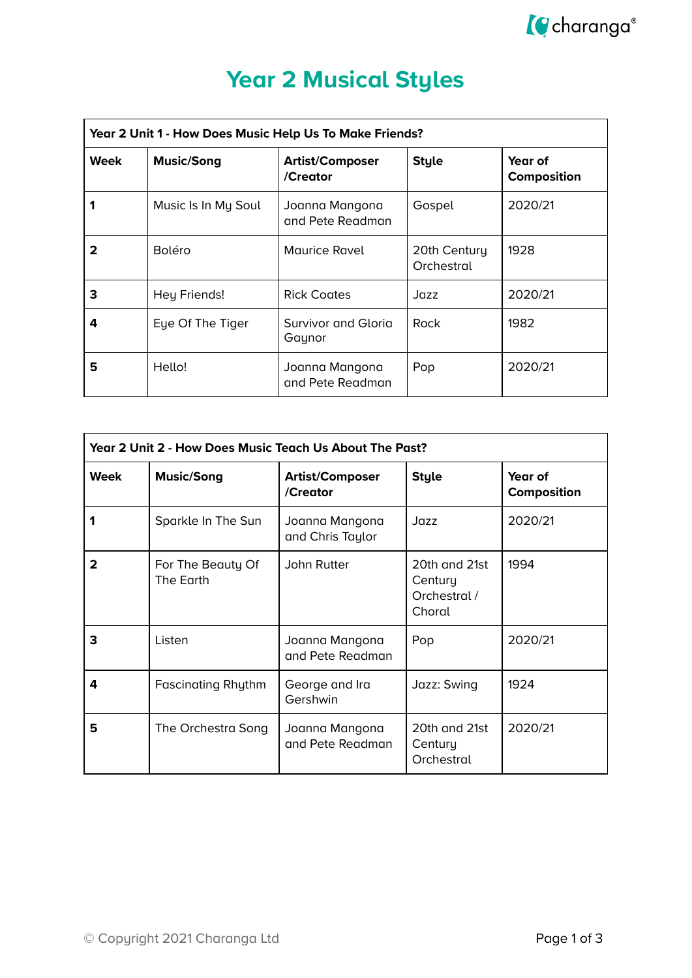

| <b>Year 2 Musical Styles</b> |  |  |  |
|------------------------------|--|--|--|
|                              |  |  |  |

| Year 2 Unit 1 - How Does Music Help Us To Make Friends? |                     |                                    |                            |                        |  |
|---------------------------------------------------------|---------------------|------------------------------------|----------------------------|------------------------|--|
| <b>Week</b>                                             | <b>Music/Song</b>   | <b>Artist/Composer</b><br>/Creator | <b>Style</b>               | Year of<br>Composition |  |
|                                                         | Music Is In My Soul | Joanna Mangona<br>and Pete Readman | Gospel                     | 2020/21                |  |
| 2                                                       | <b>Boléro</b>       | <b>Maurice Ravel</b>               | 20th Century<br>Orchestral | 1928                   |  |
| 3                                                       | Hey Friends!        | <b>Rick Coates</b>                 | Jazz                       | 2020/21                |  |
| 4                                                       | Eye Of The Tiger    | Survivor and Gloria<br>Gaynor      | Rock                       | 1982                   |  |
| 5                                                       | Hello!              | Joanna Mangona<br>and Pete Readman | Pop                        | 2020/21                |  |

| Year 2 Unit 2 - How Does Music Teach Us About The Past? |                                |                                    |                                                    |                        |  |
|---------------------------------------------------------|--------------------------------|------------------------------------|----------------------------------------------------|------------------------|--|
| <b>Week</b>                                             | <b>Music/Song</b>              | <b>Artist/Composer</b><br>/Creator | <b>Style</b>                                       | Year of<br>Composition |  |
|                                                         | Sparkle In The Sun             | Joanna Mangona<br>and Chris Taylor | Jazz                                               | 2020/21                |  |
| 2                                                       | For The Beauty Of<br>The Earth | John Rutter                        | 20th and 21st<br>Century<br>Orchestral /<br>Choral | 1994                   |  |
| 3                                                       | Listen                         | Joanna Mangona<br>and Pete Readman | Pop                                                | 2020/21                |  |
| 4                                                       | <b>Fascinating Rhythm</b>      | George and Ira<br>Gershwin         | Jazz: Swing                                        | 1924                   |  |
| 5                                                       | The Orchestra Song             | Joanna Mangona<br>and Pete Readman | 20th and 21st<br>Century<br>Orchestral             | 2020/21                |  |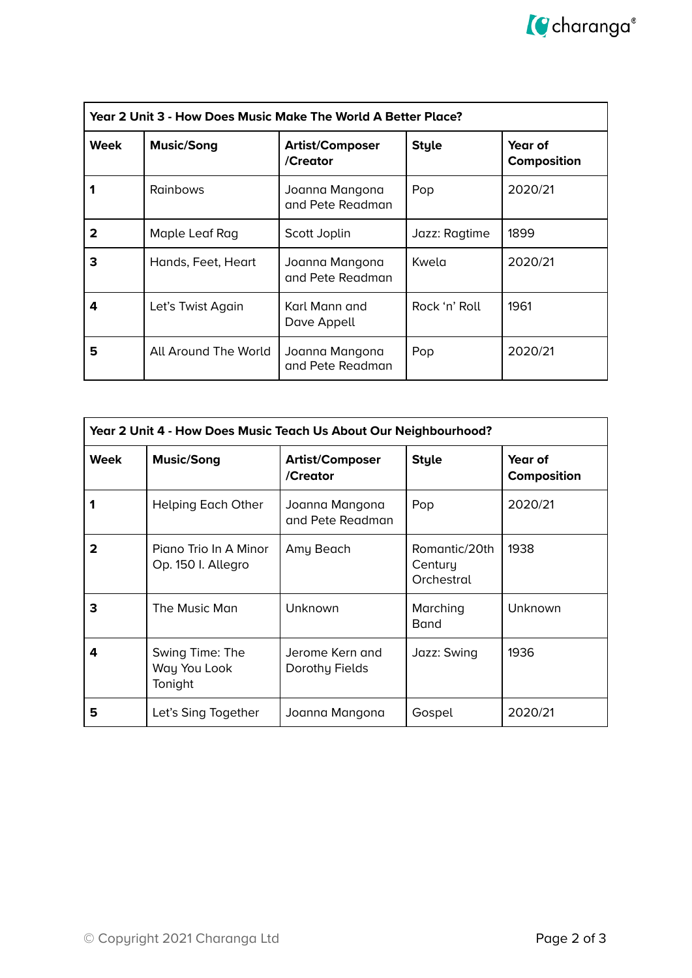| Year 2 Unit 3 - How Does Music Make The World A Better Place? |                      |                                    |               |                        |  |
|---------------------------------------------------------------|----------------------|------------------------------------|---------------|------------------------|--|
| Week                                                          | <b>Music/Song</b>    | <b>Artist/Composer</b><br>/Creator | <b>Style</b>  | Year of<br>Composition |  |
| 1                                                             | <b>Rainbows</b>      | Joanna Mangona<br>and Pete Readman | Pop           | 2020/21                |  |
| 2                                                             | Maple Leaf Rag       | Scott Joplin                       | Jazz: Ragtime | 1899                   |  |
| 3                                                             | Hands, Feet, Heart   | Joanna Mangona<br>and Pete Readman | Kwela         | 2020/21                |  |
| 4                                                             | Let's Twist Again    | Karl Mann and<br>Dave Appell       | Rock 'n' Roll | 1961                   |  |
| 5                                                             | All Around The World | Joanna Mangona<br>and Pete Readman | Pop           | 2020/21                |  |

| Year 2 Unit 4 - How Does Music Teach Us About Our Neighbourhood? |                                             |                                    |                                        |                        |  |
|------------------------------------------------------------------|---------------------------------------------|------------------------------------|----------------------------------------|------------------------|--|
| <b>Week</b>                                                      | <b>Music/Song</b>                           | <b>Artist/Composer</b><br>/Creator | <b>Style</b>                           | Year of<br>Composition |  |
|                                                                  | <b>Helping Each Other</b>                   | Joanna Mangona<br>and Pete Readman | Pop                                    | 2020/21                |  |
| $\mathbf{2}$                                                     | Pigno Trio In A Minor<br>Op. 150 I. Allegro | Amy Beach                          | Romantic/20th<br>Century<br>Orchestral | 1938                   |  |
| 3                                                                | The Music Man                               | Unknown                            | Marching<br><b>Band</b>                | Unknown                |  |
| 4                                                                | Swing Time: The<br>Way You Look<br>Tonight  | Jerome Kern and<br>Dorothy Fields  | Jazz: Swing                            | 1936                   |  |
| 5                                                                | Let's Sing Together                         | Joanna Mangona                     | Gospel                                 | 2020/21                |  |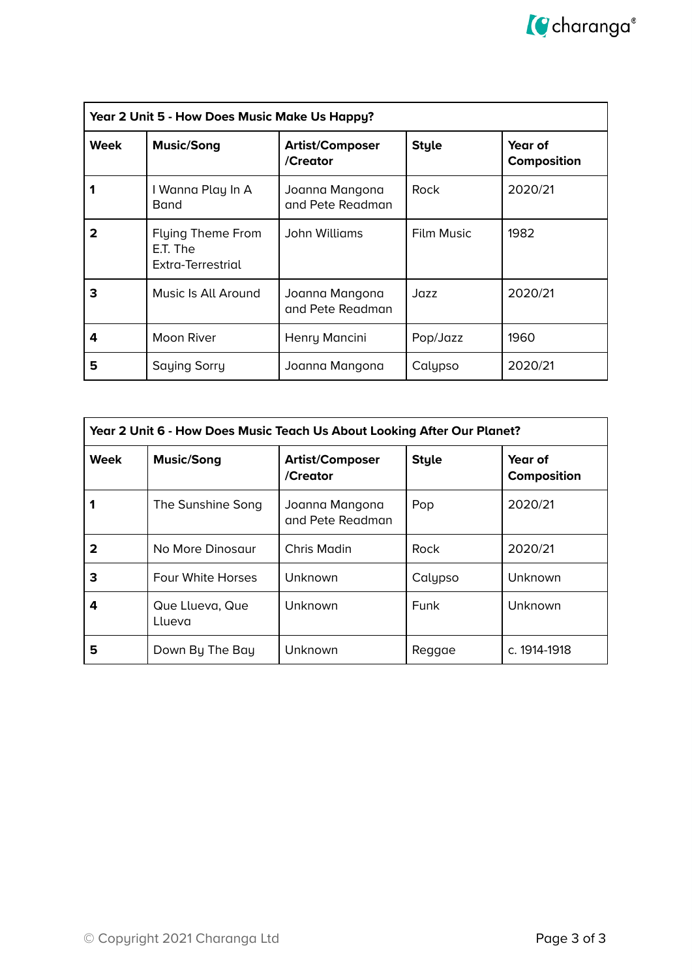| Year 2 Unit 5 - How Does Music Make Us Happy? |                                                           |                                    |                   |                        |  |
|-----------------------------------------------|-----------------------------------------------------------|------------------------------------|-------------------|------------------------|--|
| <b>Week</b>                                   | <b>Music/Song</b>                                         | <b>Artist/Composer</b><br>/Creator | <b>Style</b>      | Year of<br>Composition |  |
|                                               | I Wanna Play In A<br>Band                                 | Joanna Mangona<br>and Pete Readman | Rock              | 2020/21                |  |
|                                               | <b>Flying Theme From</b><br>E.T. The<br>Extra-Terrestrial | John Williams                      | <b>Film Music</b> | 1982                   |  |
| 3                                             | Music Is All Around                                       | Joanna Mangona<br>and Pete Readman | Jazz              | 2020/21                |  |
| 4                                             | <b>Moon River</b>                                         | Henry Mancini                      | Pop/Jazz          | 1960                   |  |
| 5                                             | <b>Saying Sorry</b>                                       | Joanna Mangona                     | Calypso           | 2020/21                |  |

| Year 2 Unit 6 - How Does Music Teach Us About Looking After Our Planet? |                           |                                    |              |                        |
|-------------------------------------------------------------------------|---------------------------|------------------------------------|--------------|------------------------|
| <b>Week</b>                                                             | <b>Music/Song</b>         | <b>Artist/Composer</b><br>/Creator | <b>Style</b> | Year of<br>Composition |
|                                                                         | The Sunshine Song         | Joanna Mangona<br>and Pete Readman | Pop          | 2020/21                |
| 2                                                                       | No More Dinosaur          | Chris Madin                        | Rock         | 2020/21                |
| 3                                                                       | <b>Four White Horses</b>  | Unknown                            | Calypso      | Unknown                |
| 4                                                                       | Que Llueva, Que<br>Llueva | Unknown                            | Funk         | Unknown                |
| 5                                                                       | Down By The Bay           | Unknown                            | Reggae       | c. 1914-1918           |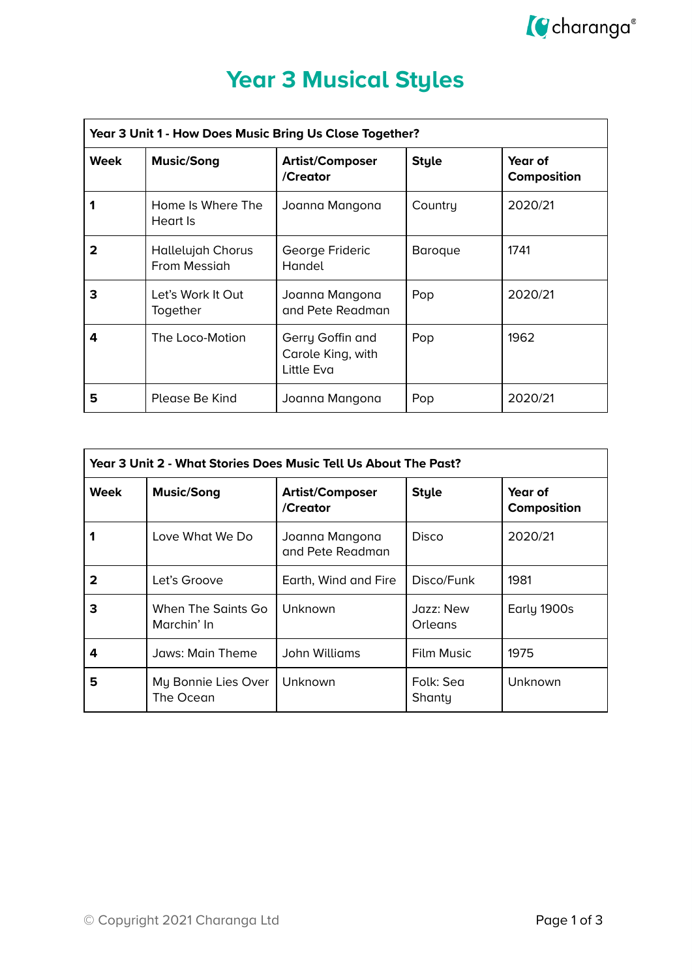

### **Year 3 Musical Styles**

| Year 3 Unit 1 - How Does Music Bring Us Close Together? |                                   |                                                     |                |                               |
|---------------------------------------------------------|-----------------------------------|-----------------------------------------------------|----------------|-------------------------------|
| Week                                                    | <b>Music/Song</b>                 | <b>Artist/Composer</b><br>/Creator                  | <b>Style</b>   | Year of<br><b>Composition</b> |
| 1                                                       | Home Is Where The<br>Heart Is     | Joanna Mangona                                      | Country        | 2020/21                       |
| 2                                                       | Hallelujah Chorus<br>From Messigh | George Frideric<br>Handel                           | <b>Baroque</b> | 1741                          |
| 3                                                       | Let's Work It Out<br>Together     | Joanna Mangona<br>and Pete Readman                  | Pop            | 2020/21                       |
| 4                                                       | The Loco-Motion                   | Gerry Goffin and<br>Carole King, with<br>Little Eva | Pop            | 1962                          |
| 5                                                       | Please Be Kind                    | Joanna Mangona                                      | Pop            | 2020/21                       |

| Year 3 Unit 2 - What Stories Does Music Tell Us About The Past? |                                   |                                    |                      |                        |
|-----------------------------------------------------------------|-----------------------------------|------------------------------------|----------------------|------------------------|
| Week                                                            | <b>Music/Song</b>                 | <b>Artist/Composer</b><br>/Creator | <b>Style</b>         | Year of<br>Composition |
|                                                                 | Love What We Do                   | Joanna Mangona<br>and Pete Readman | Disco                | 2020/21                |
| 2                                                               | Let's Groove                      | Earth, Wind and Fire               | Disco/Funk           | 1981                   |
| 3                                                               | When The Saints Go<br>Marchin' In | Unknown                            | Jazz: New<br>Orleans | Early 1900s            |
| 4                                                               | Jaws: Main Theme                  | John Williams                      | <b>Film Music</b>    | 1975                   |
| 5                                                               | My Bonnie Lies Over<br>The Ocean  | Unknown                            | Folk: Sea<br>Shanty  | Unknown                |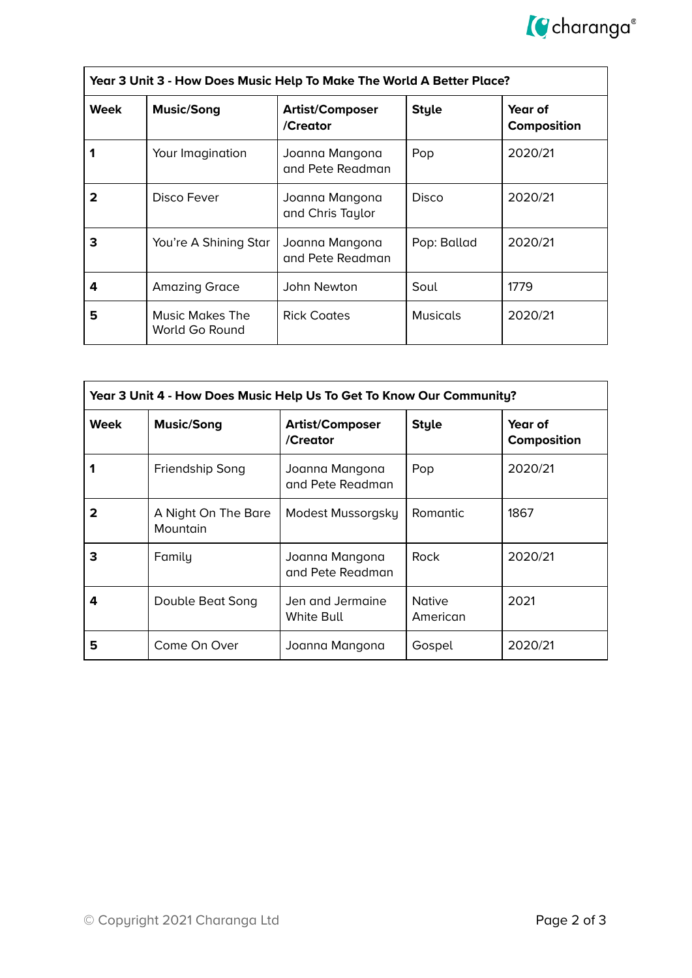

| Year 3 Unit 3 - How Does Music Help To Make The World A Better Place? |                                   |                                    |                 |                        |
|-----------------------------------------------------------------------|-----------------------------------|------------------------------------|-----------------|------------------------|
| <b>Week</b>                                                           | <b>Music/Song</b>                 | <b>Artist/Composer</b><br>/Creator | <b>Style</b>    | Year of<br>Composition |
|                                                                       | Your Imagination                  | Joanna Mangona<br>and Pete Readman | Pop             | 2020/21                |
| 2                                                                     | Disco Fever                       | Joanna Mangona<br>and Chris Taylor | Disco           | 2020/21                |
| 3                                                                     | You're A Shining Star             | Joanna Mangona<br>and Pete Readman | Pop: Ballad     | 2020/21                |
| 4                                                                     | <b>Amazing Grace</b>              | John Newton                        | Soul            | 1779                   |
| 5                                                                     | Music Makes The<br>World Go Round | <b>Rick Coates</b>                 | <b>Musicals</b> | 2020/21                |

| Year 3 Unit 4 - How Does Music Help Us To Get To Know Our Community? |                                 |                                    |                           |                        |
|----------------------------------------------------------------------|---------------------------------|------------------------------------|---------------------------|------------------------|
| <b>Week</b>                                                          | <b>Music/Song</b>               | <b>Artist/Composer</b><br>/Creator | <b>Style</b>              | Year of<br>Composition |
|                                                                      | Friendship Song                 | Joanna Mangona<br>and Pete Readman | Pop                       | 2020/21                |
|                                                                      | A Night On The Bare<br>Mountain | Modest Mussorgsky                  | Romantic                  | 1867                   |
| 3                                                                    | Family                          | Joanna Mangona<br>and Pete Readman | <b>Rock</b>               | 2020/21                |
| 4                                                                    | Double Beat Song                | Jen and Jermaine<br>White Bull     | <b>Native</b><br>American | 2021                   |
| 5                                                                    | Come On Over                    | Joanna Mangona                     | Gospel                    | 2020/21                |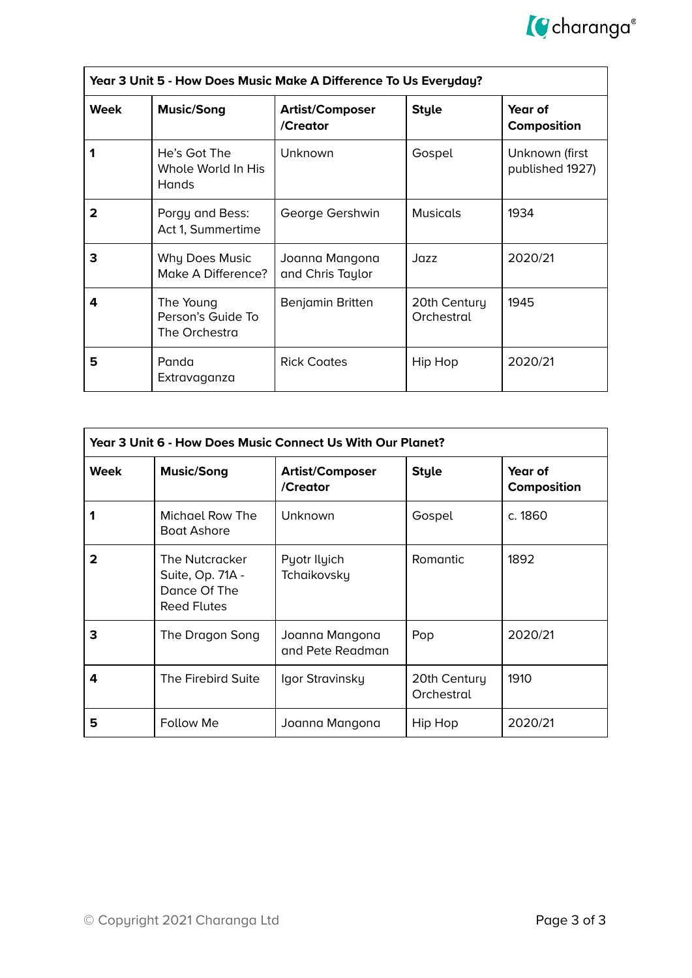

| Year 3 Unit 5 - How Does Music Make A Difference To Us Everyday? |                                                    |                                    |                            |                                   |
|------------------------------------------------------------------|----------------------------------------------------|------------------------------------|----------------------------|-----------------------------------|
| Week                                                             | <b>Music/Song</b>                                  | <b>Artist/Composer</b><br>/Creator | <b>Style</b>               | Year of<br>Composition            |
|                                                                  | He's Got The<br>Whole World In His<br><b>Hands</b> | Unknown                            | Gospel                     | Unknown (first<br>published 1927) |
| 2                                                                | Porgy and Bess:<br>Act 1, Summertime               | George Gershwin                    | <b>Musicals</b>            | 1934                              |
| 3                                                                | Why Does Music<br>Make A Difference?               | Joanna Mangona<br>and Chris Taylor | Jazz                       | 2020/21                           |
| 4                                                                | The Young<br>Person's Guide To<br>The Orchestra    | Benjamin Britten                   | 20th Century<br>Orchestral | 1945                              |
| 5                                                                | Panda<br>Extravaganza                              | <b>Rick Coates</b>                 | Hip Hop                    | 2020/21                           |

| Year 3 Unit 6 - How Does Music Connect Us With Our Planet? |                                                                          |                                    |                            |                        |  |
|------------------------------------------------------------|--------------------------------------------------------------------------|------------------------------------|----------------------------|------------------------|--|
| <b>Week</b>                                                | <b>Music/Song</b>                                                        | <b>Artist/Composer</b><br>/Creator | <b>Style</b>               | Year of<br>Composition |  |
|                                                            | Michael Row The<br><b>Boat Ashore</b>                                    | Unknown                            | Gospel                     | c. 1860                |  |
| 2                                                          | The Nutcracker<br>Suite, Op. 71A -<br>Dance Of The<br><b>Reed Flutes</b> | Pyotr Ilyich<br>Tchaikovsky        | Romantic                   | 1892                   |  |
| З                                                          | The Dragon Song                                                          | Joanna Mangona<br>and Pete Readman | Pop                        | 2020/21                |  |
| 4                                                          | The Firebird Suite                                                       | Igor Stravinsky                    | 20th Century<br>Orchestral | 1910                   |  |
| 5                                                          | Follow Me                                                                | Joanna Mangona                     | Hip Hop                    | 2020/21                |  |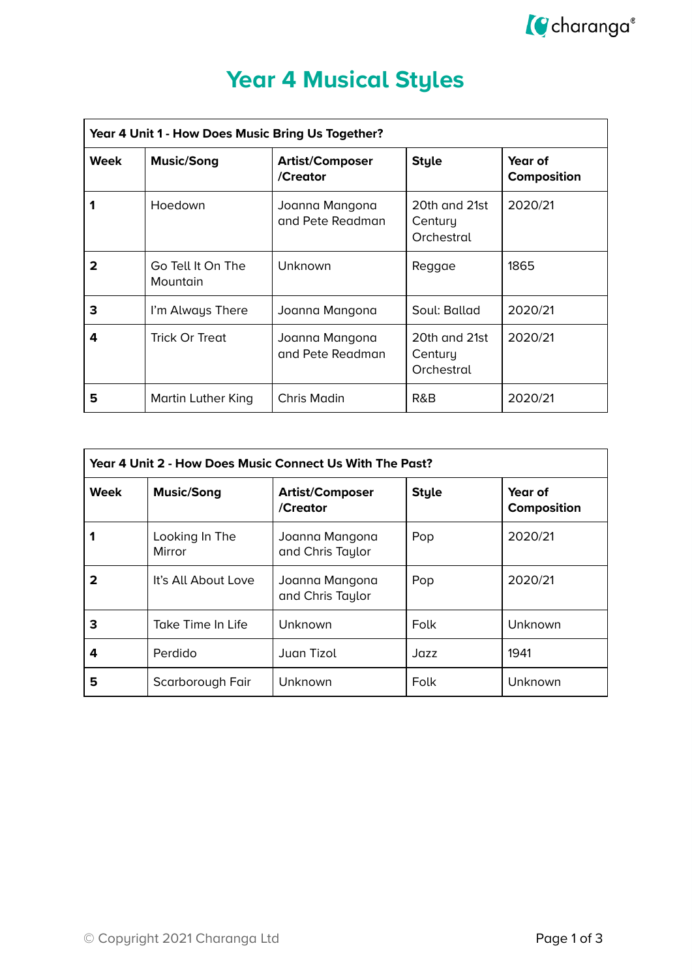

# **Year 4 Musical Styles**

| Year 4 Unit 1 - How Does Music Bring Us Together? |                               |                                    |                                        |                               |
|---------------------------------------------------|-------------------------------|------------------------------------|----------------------------------------|-------------------------------|
| Week                                              | <b>Music/Song</b>             | <b>Artist/Composer</b><br>/Creator | <b>Style</b>                           | Year of<br><b>Composition</b> |
|                                                   | Hoedown                       | Joanna Mangona<br>and Pete Readman | 20th and 21st<br>Century<br>Orchestral | 2020/21                       |
| 2                                                 | Go Tell It On The<br>Mountain | Unknown                            | Reggae                                 | 1865                          |
| 3                                                 | I'm Always There              | Joanna Mangona                     | Soul: Ballad                           | 2020/21                       |
| 4                                                 | <b>Trick Or Treat</b>         | Joanna Mangona<br>and Pete Readman | 20th and 21st<br>Century<br>Orchestral | 2020/21                       |
| 5                                                 | Martin Luther King            | Chris Madin                        | R&B                                    | 2020/21                       |

| Year 4 Unit 2 - How Does Music Connect Us With The Past? |                          |                                    |              |                        |
|----------------------------------------------------------|--------------------------|------------------------------------|--------------|------------------------|
| <b>Week</b>                                              | <b>Music/Song</b>        | <b>Artist/Composer</b><br>/Creator | <b>Style</b> | Year of<br>Composition |
|                                                          | Looking In The<br>Mirror | Joanna Mangona<br>and Chris Taylor | Pop          | 2020/21                |
| 2                                                        | It's All About Love      | Joanna Mangona<br>and Chris Taylor | Pop          | 2020/21                |
| 3                                                        | Take Time In Life        | Unknown                            | Folk         | Unknown                |
| 4                                                        | Perdido                  | Juan Tizol                         | Jazz         | 1941                   |
| 5                                                        | Scarborough Fair         | Unknown                            | Folk         | Unknown                |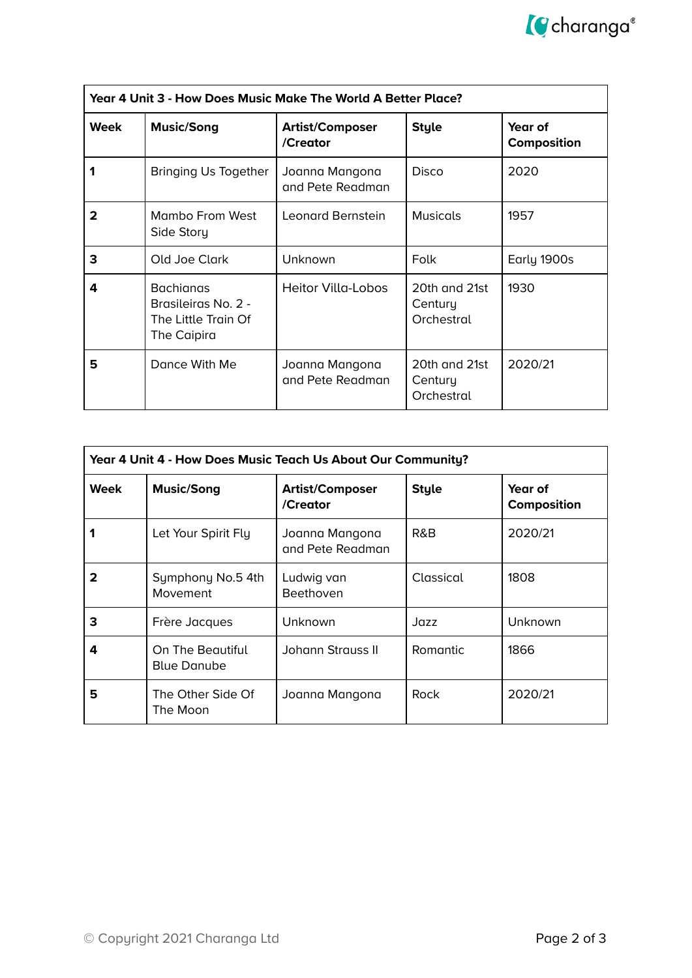

| Year 4 Unit 3 - How Does Music Make The World A Better Place? |                                                                               |                                    |                                        |                        |
|---------------------------------------------------------------|-------------------------------------------------------------------------------|------------------------------------|----------------------------------------|------------------------|
| Week                                                          | <b>Music/Song</b>                                                             | <b>Artist/Composer</b><br>/Creator | <b>Style</b>                           | Year of<br>Composition |
|                                                               | Bringing Us Together                                                          | Joanna Mangona<br>and Pete Readman | <b>Disco</b>                           | 2020                   |
| 2                                                             | Mambo From West<br>Side Story                                                 | Leonard Bernstein                  | <b>Musicals</b>                        | 1957                   |
| 3                                                             | Old Joe Clark                                                                 | Unknown                            | Folk                                   | Early 1900s            |
| 4                                                             | <b>Bachianas</b><br>Brasileiras No. 2 -<br>The Little Train Of<br>The Caipira | <b>Heitor Villa-Lobos</b>          | 20th and 21st<br>Century<br>Orchestral | 1930                   |
| 5                                                             | Dance With Me                                                                 | Joanna Mangona<br>and Pete Readman | 20th and 21st<br>Century<br>Orchestral | 2020/21                |

| Year 4 Unit 4 - How Does Music Teach Us About Our Community? |                                        |                                    |              |                        |
|--------------------------------------------------------------|----------------------------------------|------------------------------------|--------------|------------------------|
| Week                                                         | <b>Music/Song</b>                      | <b>Artist/Composer</b><br>/Creator | <b>Style</b> | Year of<br>Composition |
|                                                              | Let Your Spirit Fly                    | Joanna Mangona<br>and Pete Readman | R&B          | 2020/21                |
| 2                                                            | Symphony No.5 4th<br><b>Movement</b>   | Ludwig van<br><b>Beethoven</b>     | Classical    | 1808                   |
| 3                                                            | Frère Jacques                          | Unknown                            | Jazz         | Unknown                |
| 4                                                            | On The Beautiful<br><b>Blue Danube</b> | Johann Strauss II                  | Romantic     | 1866                   |
| 5                                                            | The Other Side Of<br>The Moon          | Joanna Mangona                     | <b>Rock</b>  | 2020/21                |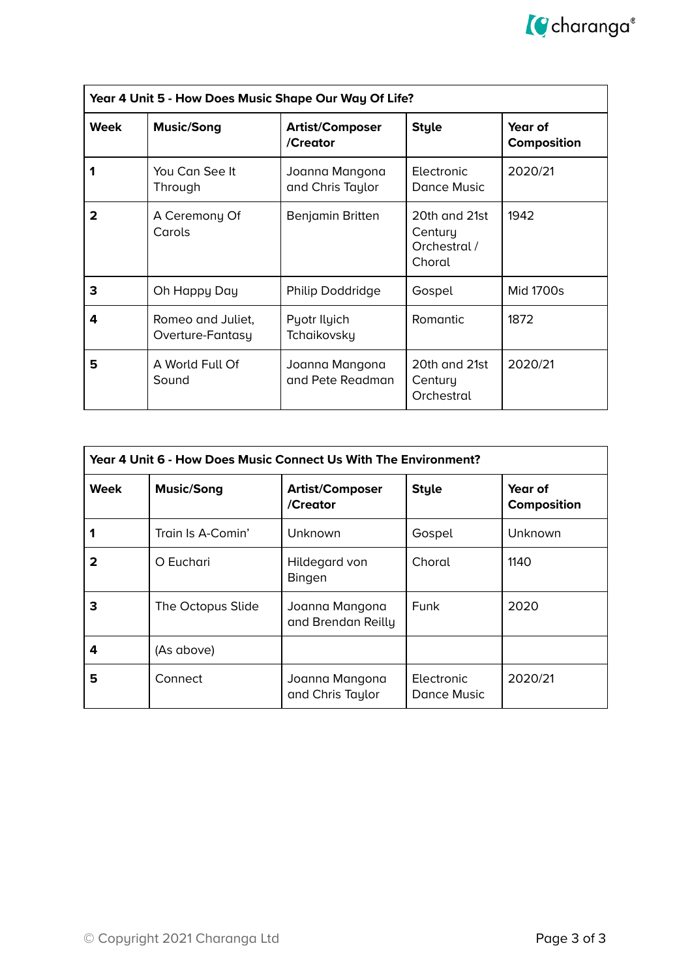

| Year 4 Unit 5 - How Does Music Shape Our Way Of Life? |                                       |                                    |                                                    |                        |
|-------------------------------------------------------|---------------------------------------|------------------------------------|----------------------------------------------------|------------------------|
| <b>Week</b>                                           | <b>Music/Song</b>                     | <b>Artist/Composer</b><br>/Creator | <b>Style</b>                                       | Year of<br>Composition |
|                                                       | You Can See It<br>Through             | Joanna Mangona<br>and Chris Taylor | Electronic<br>Dance Music                          | 2020/21                |
| 2                                                     | A Ceremony Of<br>Carols               | Benjamin Britten                   | 20th and 21st<br>Century<br>Orchestral /<br>Choral | 1942                   |
| 3                                                     | Oh Happy Day                          | Philip Doddridge                   | Gospel                                             | Mid 1700s              |
| 4                                                     | Romeo and Juliet,<br>Overture-Fantasy | Pyotr Ilyich<br>Tchaikovsky        | Romantic                                           | 1872                   |
| 5                                                     | A World Full Of<br>Sound              | Joanna Mangona<br>and Pete Readman | 20th and 21st<br>Century<br>Orchestral             | 2020/21                |

| Year 4 Unit 6 - How Does Music Connect Us With The Environment? |                   |                                      |                           |                               |
|-----------------------------------------------------------------|-------------------|--------------------------------------|---------------------------|-------------------------------|
| <b>Week</b>                                                     | <b>Music/Song</b> | <b>Artist/Composer</b><br>/Creator   | <b>Style</b>              | Year of<br><b>Composition</b> |
|                                                                 | Train Is A-Comin' | Unknown                              | Gospel                    | Unknown                       |
| 2                                                               | O Euchari         | Hildegard von<br><b>Bingen</b>       | Choral                    | 1140                          |
| 3                                                               | The Octopus Slide | Joanna Mangona<br>and Brendan Reilly | Funk                      | 2020                          |
| 4                                                               | (As above)        |                                      |                           |                               |
| 5                                                               | Connect           | Joanna Mangona<br>and Chris Taylor   | Electronic<br>Dance Music | 2020/21                       |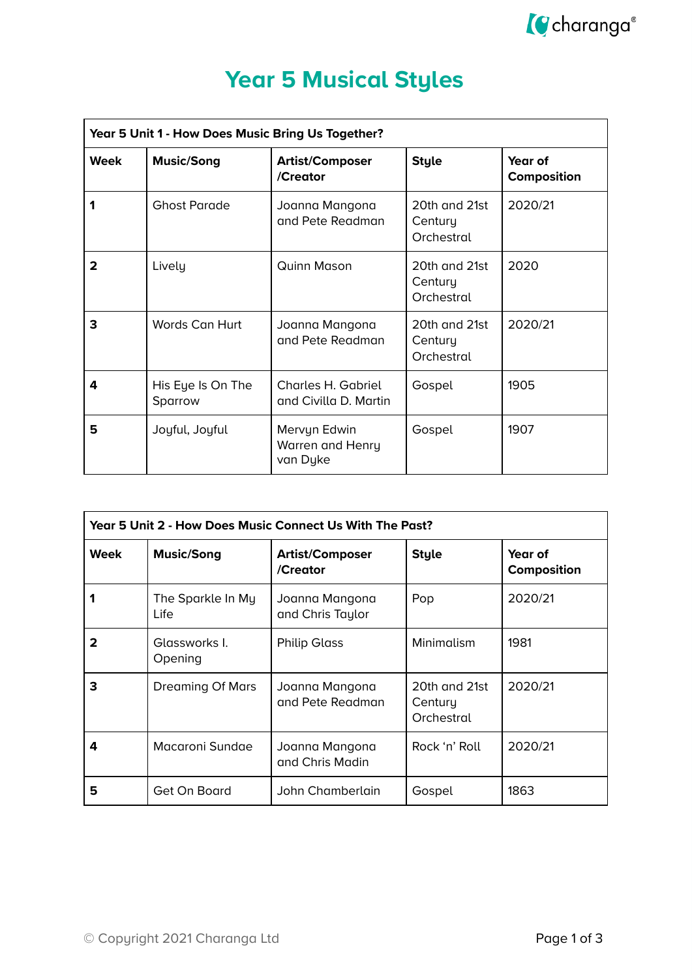

### **Year 5 Musical Styles**

| Year 5 Unit 1 - How Does Music Bring Us Together? |                              |                                              |                                        |                        |
|---------------------------------------------------|------------------------------|----------------------------------------------|----------------------------------------|------------------------|
| <b>Week</b>                                       | <b>Music/Song</b>            | <b>Artist/Composer</b><br>/Creator           | <b>Style</b>                           | Year of<br>Composition |
|                                                   | <b>Ghost Parade</b>          | Joanna Mangona<br>and Pete Readman           | 20th and 21st<br>Century<br>Orchestral | 2020/21                |
| $\mathbf{2}$                                      | Lively                       | <b>Quinn Mason</b>                           | 20th and 21st<br>Century<br>Orchestral | 2020                   |
| 3                                                 | Words Can Hurt               | Joanna Mangona<br>and Pete Readman           | 20th and 21st<br>Century<br>Orchestral | 2020/21                |
| 4                                                 | His Eye Is On The<br>Sparrow | Charles H. Gabriel<br>and Civilla D. Martin  | Gospel                                 | 1905                   |
| 5                                                 | Joyful, Joyful               | Mervyn Edwin<br>Warren and Henry<br>van Dyke | Gospel                                 | 1907                   |

| Year 5 Unit 2 - How Does Music Connect Us With The Past? |                           |                                    |                                        |                        |
|----------------------------------------------------------|---------------------------|------------------------------------|----------------------------------------|------------------------|
| Week                                                     | <b>Music/Song</b>         | <b>Artist/Composer</b><br>/Creator | <b>Style</b>                           | Year of<br>Composition |
|                                                          | The Sparkle In My<br>Life | Joanna Mangona<br>and Chris Taylor | Pop                                    | 2020/21                |
| 2                                                        | Glassworks I.<br>Opening  | <b>Philip Glass</b>                | Minimalism                             | 1981                   |
| 3                                                        | <b>Dreaming Of Mars</b>   | Joanna Mangona<br>and Pete Readman | 20th and 21st<br>Century<br>Orchestral | 2020/21                |
| 4                                                        | Macaroni Sundae           | Joanna Mangona<br>and Chris Madin  | Rock 'n' Roll                          | 2020/21                |
| 5                                                        | Get On Board              | John Chamberlain                   | Gospel                                 | 1863                   |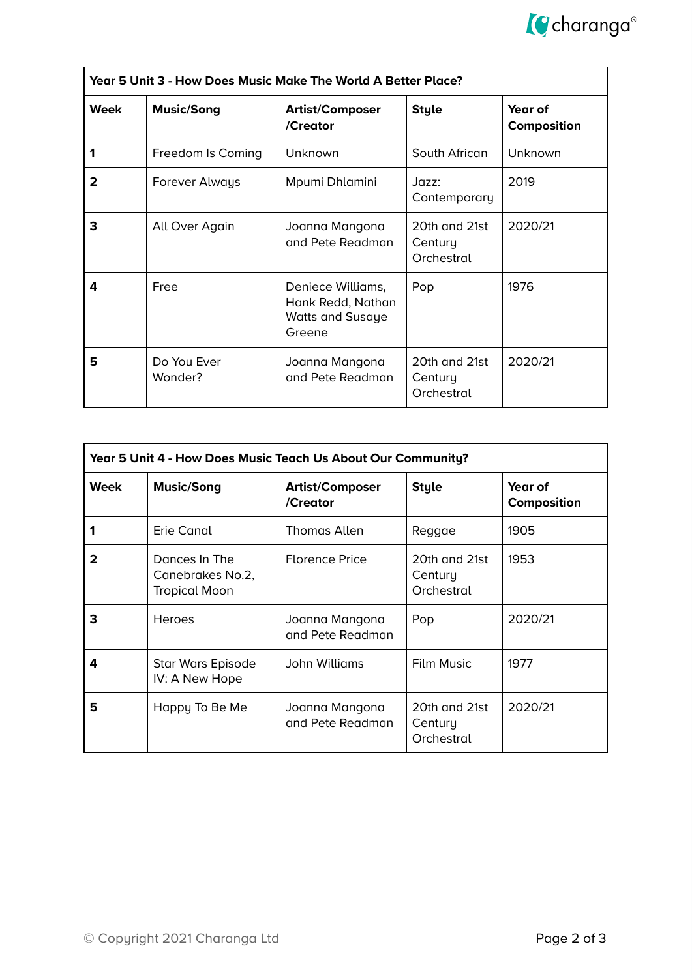

| Year 5 Unit 3 - How Does Music Make The World A Better Place? |                        |                                                                      |                                        |                               |
|---------------------------------------------------------------|------------------------|----------------------------------------------------------------------|----------------------------------------|-------------------------------|
| <b>Week</b>                                                   | <b>Music/Song</b>      | <b>Artist/Composer</b><br>/Creator                                   | <b>Style</b>                           | Year of<br><b>Composition</b> |
|                                                               | Freedom Is Coming      | Unknown                                                              | South African                          | Unknown                       |
| 2                                                             | Forever Always         | Mpumi Dhlamini                                                       | Jazz:<br>Contemporary                  | 2019                          |
| 3                                                             | All Over Again         | Joanna Mangona<br>and Pete Readman                                   | 20th and 21st<br>Century<br>Orchestral | 2020/21                       |
| 4                                                             | Free                   | Deniece Williams,<br>Hank Redd, Nathan<br>Watts and Susaye<br>Greene | Pop                                    | 1976                          |
| 5                                                             | Do You Ever<br>Wonder? | Joanna Mangona<br>and Pete Readman                                   | 20th and 21st<br>Century<br>Orchestral | 2020/21                       |

| Year 5 Unit 4 - How Does Music Teach Us About Our Community? |                                                           |                                    |                                        |                        |
|--------------------------------------------------------------|-----------------------------------------------------------|------------------------------------|----------------------------------------|------------------------|
| Week                                                         | <b>Music/Song</b>                                         | <b>Artist/Composer</b><br>/Creator | <b>Style</b>                           | Year of<br>Composition |
|                                                              | Erie Canal                                                | <b>Thomas Allen</b>                | Reggae                                 | 1905                   |
| 2                                                            | Dances In The<br>Canebrakes No.2,<br><b>Tropical Moon</b> | <b>Florence Price</b>              | 20th and 21st<br>Century<br>Orchestral | 1953                   |
| 3                                                            | <b>Heroes</b>                                             | Joanna Mangona<br>and Pete Readman | Pop                                    | 2020/21                |
| 4                                                            | Star Wars Episode<br>IV: A New Hope                       | John Williams                      | Film Music                             | 1977                   |
| 5                                                            | Happy To Be Me                                            | Joanna Mangona<br>and Pete Readman | 20th and 21st<br>Century<br>Orchestral | 2020/21                |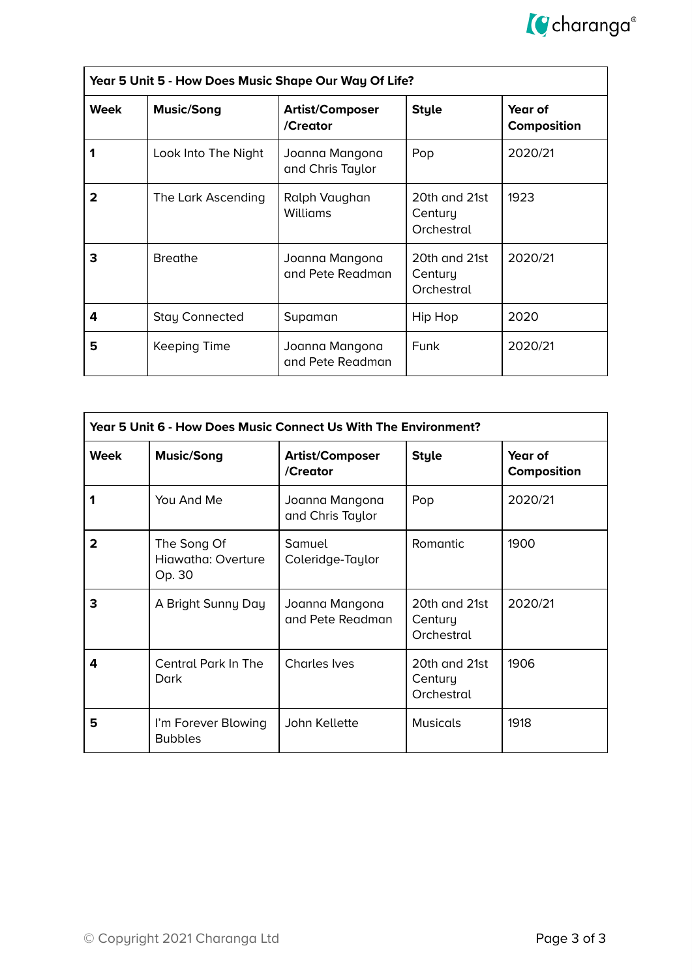

| Year 5 Unit 5 - How Does Music Shape Our Way Of Life? |                       |                                    |                                        |                               |
|-------------------------------------------------------|-----------------------|------------------------------------|----------------------------------------|-------------------------------|
| Week                                                  | <b>Music/Song</b>     | <b>Artist/Composer</b><br>/Creator | <b>Style</b>                           | Year of<br><b>Composition</b> |
|                                                       | Look Into The Night   | Joanna Mangona<br>and Chris Taylor | Pop                                    | 2020/21                       |
| 2                                                     | The Lark Ascending    | Ralph Vaughan<br>Williams          | 20th and 21st<br>Century<br>Orchestral | 1923                          |
| З                                                     | <b>Breathe</b>        | Joanna Mangona<br>and Pete Readman | 20th and 21st<br>Century<br>Orchestral | 2020/21                       |
| 4                                                     | <b>Stay Connected</b> | Supaman                            | Hip Hop                                | 2020                          |
| 5                                                     | Keeping Time          | Joanna Mangona<br>and Pete Readman | Funk                                   | 2020/21                       |

| Year 5 Unit 6 - How Does Music Connect Us With The Environment? |                                             |                                    |                                        |                        |
|-----------------------------------------------------------------|---------------------------------------------|------------------------------------|----------------------------------------|------------------------|
| Week                                                            | <b>Music/Song</b>                           | <b>Artist/Composer</b><br>/Creator | <b>Style</b>                           | Year of<br>Composition |
|                                                                 | You And Me                                  | Joanna Mangona<br>and Chris Taylor | Pop                                    | 2020/21                |
| $\mathbf{2}$                                                    | The Song Of<br>Hiawatha: Overture<br>Op. 30 | Samuel<br>Coleridge-Taylor         | Romantic                               | 1900                   |
| 3                                                               | A Bright Sunny Day                          | Joanna Mangona<br>and Pete Readman | 20th and 21st<br>Century<br>Orchestral | 2020/21                |
| 4                                                               | Central Park In The<br>Dark                 | <b>Charles Ives</b>                | 20th and 21st<br>Century<br>Orchestral | 1906                   |
| 5                                                               | I'm Forever Blowing<br><b>Bubbles</b>       | John Kellette                      | <b>Musicals</b>                        | 1918                   |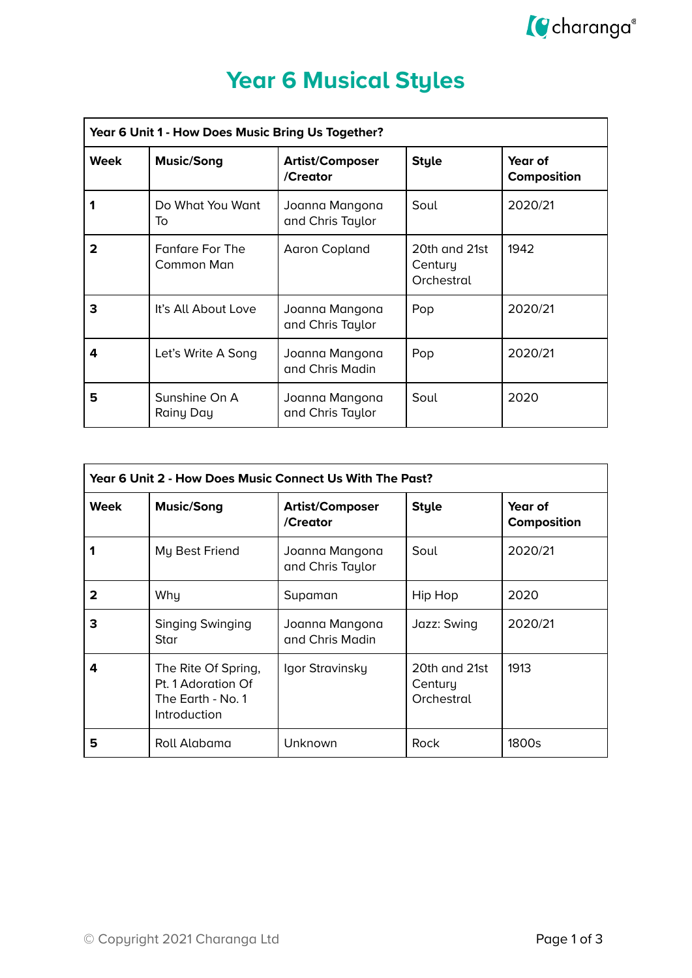

# **Year 6 Musical Styles**

| Year 6 Unit 1 - How Does Music Bring Us Together? |                                      |                                    |                                        |                        |
|---------------------------------------------------|--------------------------------------|------------------------------------|----------------------------------------|------------------------|
| Week                                              | <b>Music/Song</b>                    | <b>Artist/Composer</b><br>/Creator | <b>Style</b>                           | Year of<br>Composition |
|                                                   | Do What You Want<br>To               | Joanna Mangona<br>and Chris Taylor | Soul                                   | 2020/21                |
| $\mathbf{2}$                                      | <b>Fanfare For The</b><br>Common Man | Aaron Copland                      | 20th and 21st<br>Century<br>Orchestral | 1942                   |
| 3                                                 | It's All About Love                  | Joanna Mangona<br>and Chris Taylor | Pop                                    | 2020/21                |
| 4                                                 | Let's Write A Song                   | Joanna Mangona<br>and Chris Madin  | Pop                                    | 2020/21                |
| 5                                                 | Sunshine On A<br>Rainy Day           | Joanna Mangona<br>and Chris Taylor | Soul                                   | 2020                   |

| Year 6 Unit 2 - How Does Music Connect Us With The Past? |                                                                                |                                    |                                        |                               |
|----------------------------------------------------------|--------------------------------------------------------------------------------|------------------------------------|----------------------------------------|-------------------------------|
| <b>Week</b>                                              | <b>Music/Song</b>                                                              | <b>Artist/Composer</b><br>/Creator | <b>Style</b>                           | Year of<br><b>Composition</b> |
|                                                          | My Best Friend                                                                 | Joanna Mangona<br>and Chris Taylor | Soul                                   | 2020/21                       |
| 2                                                        | Why                                                                            | Supaman                            | Hip Hop                                | 2020                          |
| 3                                                        | Singing Swinging<br>Star                                                       | Joanna Mangona<br>and Chris Madin  | Jazz: Swing                            | 2020/21                       |
| 4                                                        | The Rite Of Spring,<br>Pt. 1 Adoration Of<br>The Earth - No. 1<br>Introduction | Igor Stravinsky                    | 20th and 21st<br>Century<br>Orchestral | 1913                          |
| 5                                                        | Roll Alabama                                                                   | Unknown                            | Rock                                   | 1800s                         |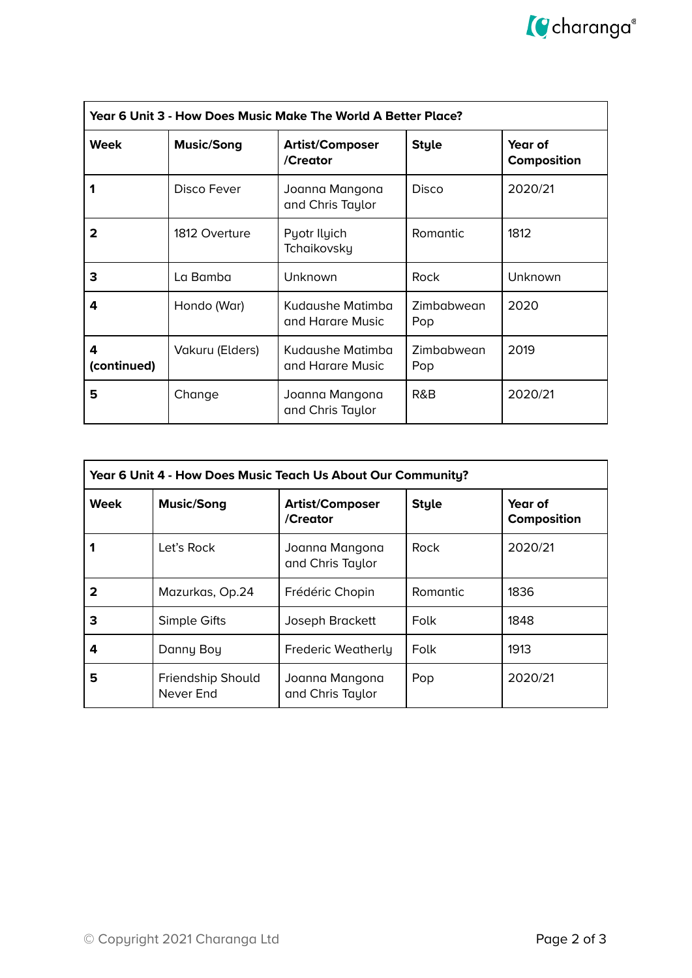

| Year 6 Unit 3 - How Does Music Make The World A Better Place? |                   |                                      |                   |                        |
|---------------------------------------------------------------|-------------------|--------------------------------------|-------------------|------------------------|
| <b>Week</b>                                                   | <b>Music/Song</b> | <b>Artist/Composer</b><br>/Creator   | <b>Style</b>      | Year of<br>Composition |
|                                                               | Disco Fever       | Joanna Mangona<br>and Chris Taylor   | Disco             | 2020/21                |
| 2                                                             | 1812 Overture     | Pyotr Ilyich<br>Tchaikovsky          | Romantic          | 1812                   |
| 3                                                             | La Bamba          | Unknown                              | Rock              | Unknown                |
| 4                                                             | Hondo (War)       | Kudaushe Matimba<br>and Harare Music | Zimbabwean<br>Pop | 2020                   |
| 4<br>(continued)                                              | Vakuru (Elders)   | Kudaushe Matimba<br>and Harare Music | Zimbabwean<br>Pop | 2019                   |
| 5                                                             | Change            | Joanna Mangona<br>and Chris Taylor   | R&B               | 2020/21                |

| Year 6 Unit 4 - How Does Music Teach Us About Our Community? |                                |                                    |                 |                        |
|--------------------------------------------------------------|--------------------------------|------------------------------------|-----------------|------------------------|
| Week                                                         | <b>Music/Song</b>              | <b>Artist/Composer</b><br>/Creator | <b>Style</b>    | Year of<br>Composition |
|                                                              | Let's Rock                     | Joanna Mangona<br>and Chris Taylor | <b>Rock</b>     | 2020/21                |
| 2                                                            | Mazurkas, Op.24                | Frédéric Chopin                    | <b>Romantic</b> | 1836                   |
| З                                                            | Simple Gifts                   | Joseph Brackett                    | Folk            | 1848                   |
| 4                                                            | Danny Boy                      | <b>Frederic Weatherly</b>          | Folk            | 1913                   |
| 5                                                            | Friendship Should<br>Never End | Joanna Mangona<br>and Chris Taylor | Pop             | 2020/21                |